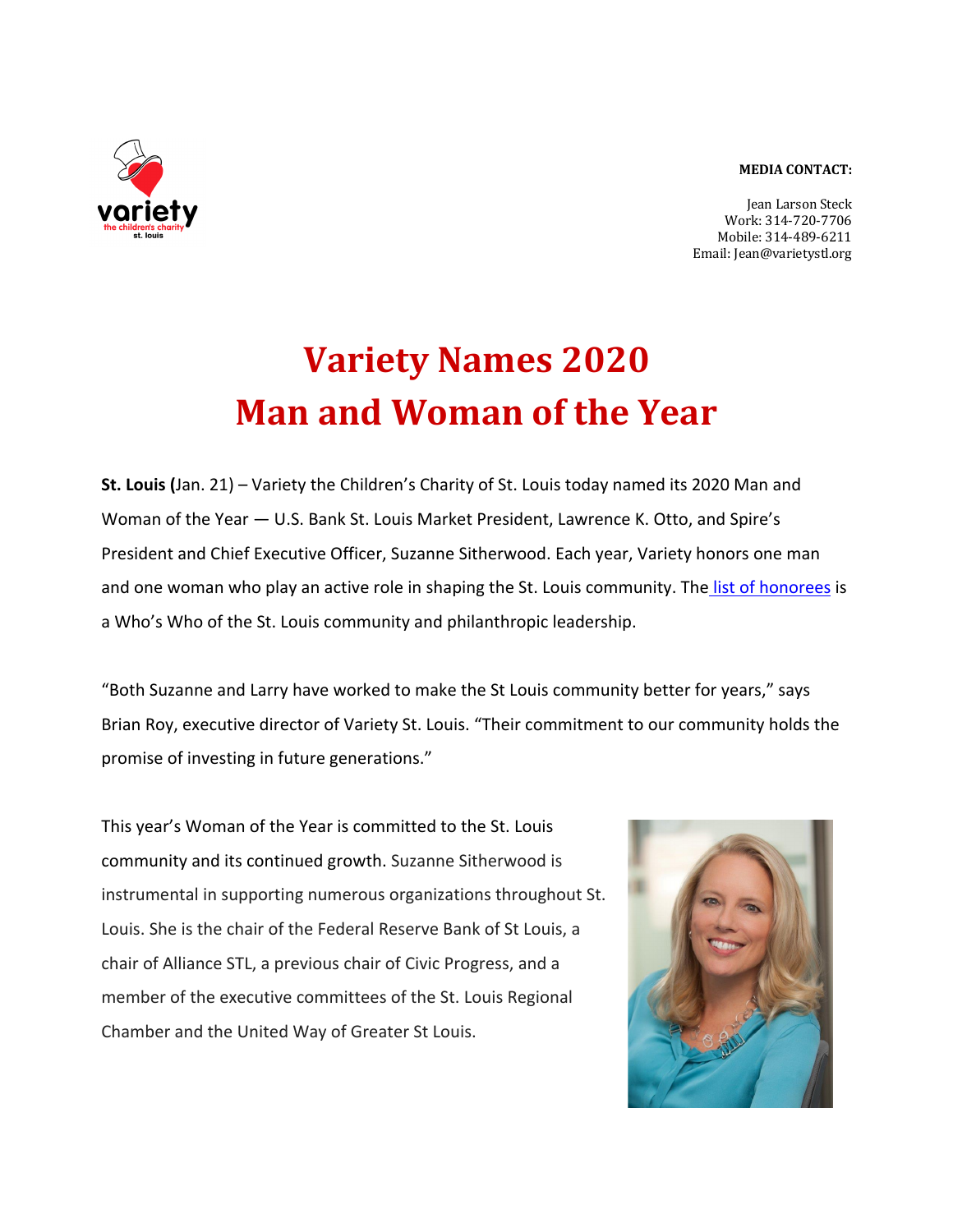## **MEDIA CONTACT:**



**Jean Larson Steck** Work: 314-720-7706 Mobile: 314-489-6211 Email: Jean@varietystl.org

## **Variety Names 2020 Man and Woman of the Year**

**St. Louis (**Jan. 21) – Variety the Children's Charity of St. Louis today named its 2020 Man and Woman of the Year — U.S. Bank St. Louis Market President, Lawrence K. Otto, and Spire's President and Chief Executive Officer, Suzanne Sitherwood. Each year, Variety honors one man and one woman who play an active role in shaping the St. Louis community. The list of honorees is a Who's Who of the St. Louis community and philanthropic leadership.

"Both Suzanne and Larry have worked to make the St Louis community better for years," says Brian Roy, executive director of Variety St. Louis. "Their commitment to our community holds the promise of investing in future generations."

This year's Woman of the Year is committed to the St. Louis community and its continued growth. Suzanne Sitherwood is instrumental in supporting numerous organizations throughout St. Louis. She is the chair of the Federal Reserve Bank of St Louis, a chair of Alliance STL, a previous chair of Civic Progress, and a member of the executive committees of the St. Louis Regional Chamber and the United Way of Greater St Louis.

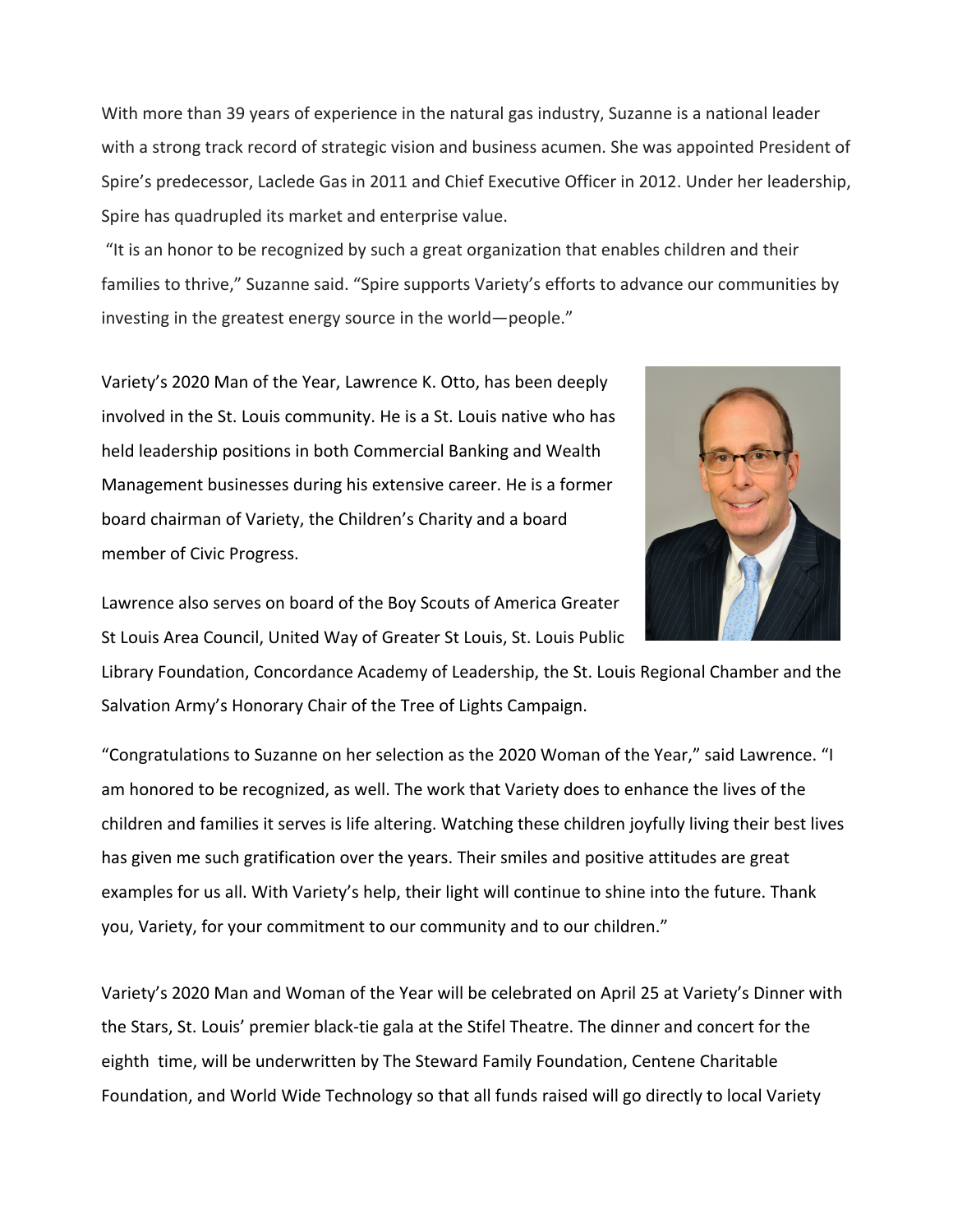With more than 39 years of experience in the natural gas industry, Suzanne is a national leader with a strong track record of strategic vision and business acumen. She was appointed President of Spire's predecessor, Laclede Gas in 2011 and Chief Executive Officer in 2012. Under her leadership, Spire has quadrupled its market and enterprise value.

"It is an honor to be recognized by such a great organization that enables children and their families to thrive," Suzanne said. "Spire supports Variety's efforts to advance our communities by investing in the greatest energy source in the world—people."

Variety's 2020 Man of the Year, Lawrence K. Otto, has been deeply involved in the St. Louis community. He is a St. Louis native who has held leadership positions in both Commercial Banking and Wealth Management businesses during his extensive career. He is a former board chairman of Variety, the Children's Charity and a board member of Civic Progress.



Lawrence also serves on board of the Boy Scouts of America Greater St Louis Area Council, United Way of Greater St Louis, St. Louis Public

Library Foundation, Concordance Academy of Leadership, the St. Louis Regional Chamber and the Salvation Army's Honorary Chair of the Tree of Lights Campaign.

"Congratulations to Suzanne on her selection as the 2020 Woman of the Year," said Lawrence. "I am honored to be recognized, as well. The work that Variety does to enhance the lives of the children and families it serves is life altering. Watching these children joyfully living their best lives has given me such gratification over the years. Their smiles and positive attitudes are great examples for us all. With Variety's help, their light will continue to shine into the future. Thank you, Variety, for your commitment to our community and to our children."

Variety's 2020 Man and Woman of the Year will be celebrated on April 25 at Variety's Dinner with the Stars, St. Louis' premier black-tie gala at the Stifel Theatre. The dinner and concert for the eighth time, will be underwritten by The Steward Family Foundation, Centene Charitable Foundation, and World Wide Technology so that all funds raised will go directly to local Variety